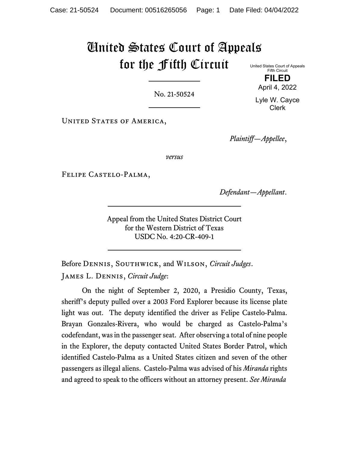# United States Court of Appeals for the Fifth Circuit

United States Court of Appeals Fifth Circuit **FILED**

No. 21-50524

Lyle W. Cayce Clerk

April 4, 2022

UNITED STATES OF AMERICA,

*Plaintiff—Appellee*,

*versus*

Felipe Castelo-Palma,

*Defendant—Appellant*.

Appeal from the United States District Court for the Western District of Texas USDC No. 4:20-CR-409-1

Before Dennis, Southwick, and Wilson, *Circuit Judges*.

James L. Dennis, *Circuit Judge*:

On the night of September 2, 2020, a Presidio County, Texas, sheriff's deputy pulled over a 2003 Ford Explorer because its license plate light was out. The deputy identified the driver as Felipe Castelo-Palma. Brayan Gonzales-Rivera, who would be charged as Castelo-Palma's codefendant, was in the passenger seat. After observing a total of nine people in the Explorer, the deputy contacted United States Border Patrol, which identified Castelo-Palma as a United States citizen and seven of the other passengers as illegal aliens. Castelo-Palma was advised of his *Miranda* rights and agreed to speak to the officers without an attorney present. *See Miranda*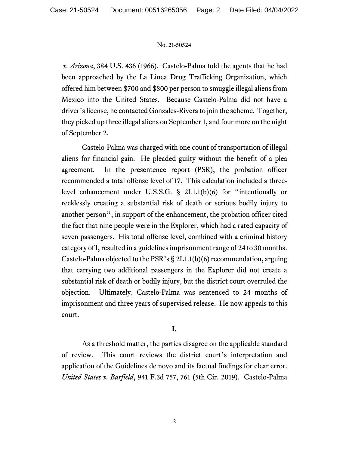*v. Arizona*, 384 U.S. 436 (1966). Castelo-Palma told the agents that he had been approached by the La Linea Drug Trafficking Organization, which offered him between \$700 and \$800 per person to smuggle illegal aliens from Mexico into the United States. Because Castelo-Palma did not have a driver's license, he contacted Gonzales-Rivera to join the scheme. Together, they picked up three illegal aliens on September 1, and four more on the night of September 2.

Castelo-Palma was charged with one count of transportation of illegal aliens for financial gain. He pleaded guilty without the benefit of a plea agreement. In the presentence report (PSR), the probation officer recommended a total offense level of 17. This calculation included a threelevel enhancement under U.S.S.G. § 2L1.1(b)(6) for "intentionally or recklessly creating a substantial risk of death or serious bodily injury to another person"; in support of the enhancement, the probation officer cited the fact that nine people were in the Explorer, which had a rated capacity of seven passengers. His total offense level, combined with a criminal history category of I, resulted in a guidelines imprisonment range of 24 to 30 months. Castelo-Palma objected to the PSR's § 2L1.1(b)(6) recommendation, arguing that carrying two additional passengers in the Explorer did not create a substantial risk of death or bodily injury, but the district court overruled the objection. Ultimately, Castelo-Palma was sentenced to 24 months of imprisonment and three years of supervised release. He now appeals to this court.

# **I.**

As a threshold matter, the parties disagree on the applicable standard of review. This court reviews the district court's interpretation and application of the Guidelines de novo and its factual findings for clear error. *United States v. Barfield*, 941 F.3d 757, 761 (5th Cir. 2019). Castelo-Palma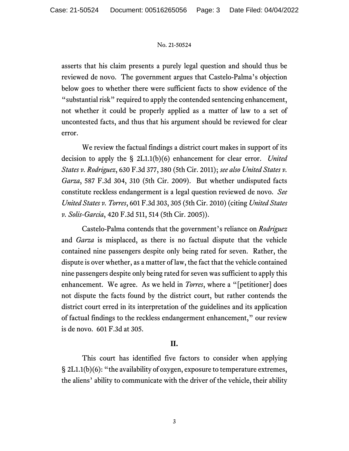asserts that his claim presents a purely legal question and should thus be reviewed de novo. The government argues that Castelo-Palma's objection below goes to whether there were sufficient facts to show evidence of the "substantial risk" required to apply the contended sentencing enhancement, not whether it could be properly applied as a matter of law to a set of uncontested facts, and thus that his argument should be reviewed for clear error.

We review the factual findings a district court makes in support of its decision to apply the § 2L1.1(b)(6) enhancement for clear error. *United States v. Rodriguez*, 630 F.3d 377, 380 (5th Cir. 2011); *see also United States v. Garza*, 587 F.3d 304, 310 (5th Cir. 2009). But whether undisputed facts constitute reckless endangerment is a legal question reviewed de novo. *See United States v. Torres*, 601 F.3d 303, 305 (5th Cir. 2010) (citing *United States v. Solis-Garcia*, 420 F.3d 511, 514 (5th Cir. 2005)).

Castelo-Palma contends that the government's reliance on *Rodriguez* and *Garza* is misplaced, as there is no factual dispute that the vehicle contained nine passengers despite only being rated for seven. Rather, the dispute is over whether, as a matter of law, the fact that the vehicle contained nine passengers despite only being rated for seven was sufficient to apply this enhancement. We agree. As we held in *Torres*, where a "[petitioner] does not dispute the facts found by the district court, but rather contends the district court erred in its interpretation of the guidelines and its application of factual findings to the reckless endangerment enhancement," our review is de novo. 601 F.3d at 305.

# **II.**

This court has identified five factors to consider when applying § 2L1.1(b)(6): "the availability of oxygen, exposure to temperature extremes, the aliens' ability to communicate with the driver of the vehicle, their ability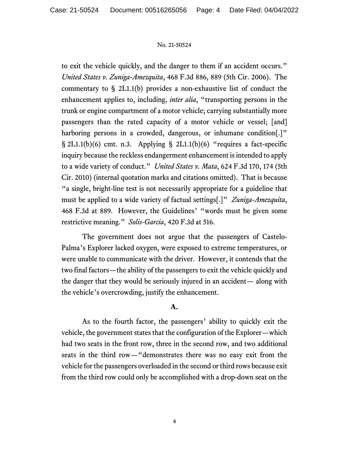to exit the vehicle quickly, and the danger to them if an accident occurs." *United States v. Zuniga-Amezquita*, 468 F.3d 886, 889 (5th Cir. 2006). The commentary to § 2L1.1(b) provides a non-exhaustive list of conduct the enhancement applies to, including, *inter alia*, "transporting persons in the trunk or engine compartment of a motor vehicle; carrying substantially more passengers than the rated capacity of a motor vehicle or vessel; [and] harboring persons in a crowded, dangerous, or inhumane condition.<sup>1"</sup>  $\S$  2L1.1(b)(6) cmt. n.3. Applying  $\S$  2L1.1(b)(6) "requires a fact-specific inquiry because the reckless endangerment enhancement is intended to apply to a wide variety of conduct." *United States v. Mata*, 624 F.3d 170, 174 (5th Cir. 2010) (internal quotation marks and citations omitted). That is because "a single, bright-line test is not necessarily appropriate for a guideline that must be applied to a wide variety of factual settings[.]" *Zuniga-Amezquita*, 468 F.3d at 889. However, the Guidelines' "words must be given some restrictive meaning." *Solis-Garcia*, 420 F.3d at 516.

The government does not argue that the passengers of Castelo-Palma's Explorer lacked oxygen, were exposed to extreme temperatures, or were unable to communicate with the driver. However, it contends that the two final factors—the ability of the passengers to exit the vehicle quickly and the danger that they would be seriously injured in an accident— along with the vehicle's overcrowding, justify the enhancement.

## **A.**

As to the fourth factor, the passengers' ability to quickly exit the vehicle, the government states that the configuration of the Explorer—which had two seats in the front row, three in the second row, and two additional seats in the third row—"demonstrates there was no easy exit from the vehicle for the passengers overloaded in the second or third rows because exit from the third row could only be accomplished with a drop-down seat on the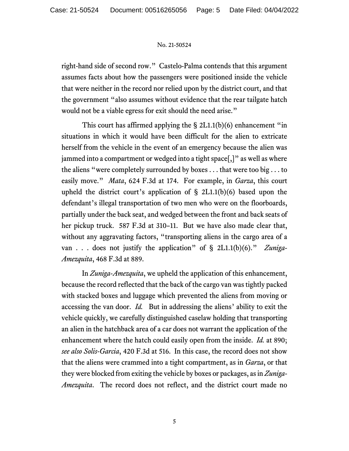right-hand side of second row." Castelo-Palma contends that this argument assumes facts about how the passengers were positioned inside the vehicle that were neither in the record nor relied upon by the district court, and that the government "also assumes without evidence that the rear tailgate hatch would not be a viable egress for exit should the need arise."

This court has affirmed applying the § 2L1.1(b)(6) enhancement "in situations in which it would have been difficult for the alien to extricate herself from the vehicle in the event of an emergency because the alien was jammed into a compartment or wedged into a tight space[,]" as well as where the aliens "were completely surrounded by boxes . . . that were too big . . . to easily move." *Mata*, 624 F.3d at 174. For example, in *Garza*, this court upheld the district court's application of  $\S$  2L1.1(b)(6) based upon the defendant's illegal transportation of two men who were on the floorboards, partially under the back seat, and wedged between the front and back seats of her pickup truck. 587 F.3d at 310–11. But we have also made clear that, without any aggravating factors, "transporting aliens in the cargo area of a van . . . does not justify the application" of § 2L1.1(b)(6)." *Zuniga-Amezquita*, 468 F.3d at 889.

In *Zuniga-Amezquita*, we upheld the application of this enhancement, because the record reflected that the back of the cargo van was tightly packed with stacked boxes and luggage which prevented the aliens from moving or accessing the van door. *Id.* But in addressing the aliens' ability to exit the vehicle quickly, we carefully distinguished caselaw holding that transporting an alien in the hatchback area of a car does not warrant the application of the enhancement where the hatch could easily open from the inside. *Id.* at 890; *see also Solis-Garcia*, 420 F.3d at 516. In this case, the record does not show that the aliens were crammed into a tight compartment, as in *Garza*, or that they were blocked from exiting the vehicle by boxes or packages, as in *Zuniga-Amezquita*. The record does not reflect, and the district court made no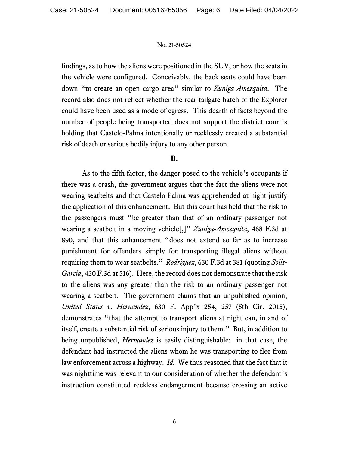findings, as to how the aliens were positioned in the SUV, or how the seats in the vehicle were configured. Conceivably, the back seats could have been down "to create an open cargo area" similar to *Zuniga-Amezquita*. The record also does not reflect whether the rear tailgate hatch of the Explorer could have been used as a mode of egress. This dearth of facts beyond the number of people being transported does not support the district court's holding that Castelo-Palma intentionally or recklessly created a substantial risk of death or serious bodily injury to any other person.

## **B.**

As to the fifth factor, the danger posed to the vehicle's occupants if there was a crash, the government argues that the fact the aliens were not wearing seatbelts and that Castelo-Palma was apprehended at night justify the application of this enhancement. But this court has held that the risk to the passengers must "be greater than that of an ordinary passenger not wearing a seatbelt in a moving vehicle[,]" *Zuniga-Amezquita*, 468 F.3d at 890, and that this enhancement "does not extend so far as to increase punishment for offenders simply for transporting illegal aliens without requiring them to wear seatbelts." *Rodriguez*, 630 F.3d at 381 (quoting *Solis-Garcia*, 420 F.3d at 516). Here, the record does not demonstrate that the risk to the aliens was any greater than the risk to an ordinary passenger not wearing a seatbelt. The government claims that an unpublished opinion, *United States v. Hernandez*, 630 F. App'x 254, 257 (5th Cir. 2015), demonstrates "that the attempt to transport aliens at night can, in and of itself, create a substantial risk of serious injury to them." But, in addition to being unpublished, *Hernandez* is easily distinguishable: in that case, the defendant had instructed the aliens whom he was transporting to flee from law enforcement across a highway. *Id.* We thus reasoned that the fact that it was nighttime was relevant to our consideration of whether the defendant's instruction constituted reckless endangerment because crossing an active